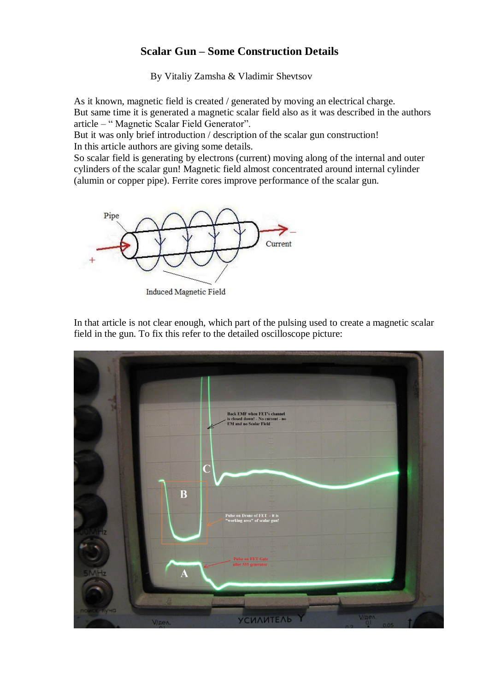## **Scalar Gun – Some Construction Details**

By Vitaliy Zamsha & Vladimir Shevtsov

As it known, magnetic field is created / generated by moving an electrical charge. But same time it is generated a magnetic scalar field also as it was described in the authors article – " Magnetic Scalar Field Generator".

But it was only brief introduction / description of the scalar gun construction! In this article authors are giving some details.

So scalar field is generating by electrons (current) moving along of the internal and outer cylinders of the scalar gun! Magnetic field almost concentrated around internal cylinder (alumin or copper pipe). Ferrite cores improve performance of the scalar gun.



Induced Magnetic Field

In that article is not clear enough, which part of the pulsing used to create a magnetic scalar field in the gun. To fix this refer to the detailed oscilloscope picture: